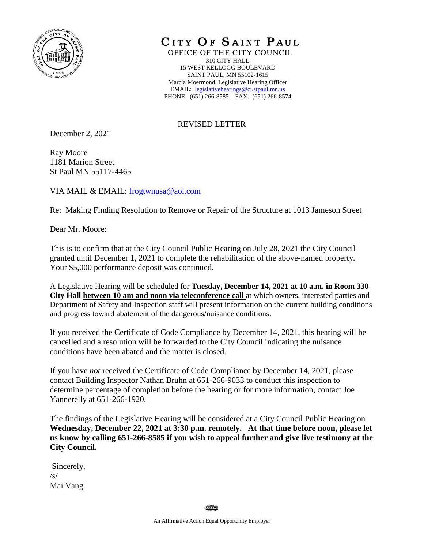

CITY OF SAINT PAUL

OFFICE OF THE CITY COUNCIL 310 CITY HALL 15 WEST KELLOGG BOULEVARD SAINT PAUL, MN 55102-1615 Marcia Moermond, Legislative Hearing Officer EMAIL: [legislativehearings@ci.stpaul.mn.us](mailto:legislativehearings@ci.stpaul.mn.us) PHONE: (651) 266-8585 FAX: (651) 266-8574

## REVISED LETTER

December 2, 2021

Ray Moore 1181 Marion Street St Paul MN 55117-4465

VIA MAIL & EMAIL: [frogtwnusa@aol.com](mailto:frogtwnusa@aol.com)

Re: Making Finding Resolution to Remove or Repair of the Structure at 1013 Jameson Street

Dear Mr. Moore:

This is to confirm that at the City Council Public Hearing on July 28, 2021 the City Council granted until December 1, 2021 to complete the rehabilitation of the above-named property. Your \$5,000 performance deposit was continued.

A Legislative Hearing will be scheduled for **Tuesday, December 14, 2021 at 10 a.m. in Room 330 City Hall between 10 am and noon via teleconference call** at which owners, interested parties and Department of Safety and Inspection staff will present information on the current building conditions and progress toward abatement of the dangerous/nuisance conditions.

If you received the Certificate of Code Compliance by December 14, 2021, this hearing will be cancelled and a resolution will be forwarded to the City Council indicating the nuisance conditions have been abated and the matter is closed.

If you have *not* received the Certificate of Code Compliance by December 14, 2021, please contact Building Inspector Nathan Bruhn at 651-266-9033 to conduct this inspection to determine percentage of completion before the hearing or for more information, contact Joe Yannerelly at 651-266-1920.

The findings of the Legislative Hearing will be considered at a City Council Public Hearing on **Wednesday, December 22, 2021 at 3:30 p.m. remotely. At that time before noon, please let us know by calling 651-266-8585 if you wish to appeal further and give live testimony at the City Council.** 

Sincerely,  $\sqrt{s}$ Mai Vang